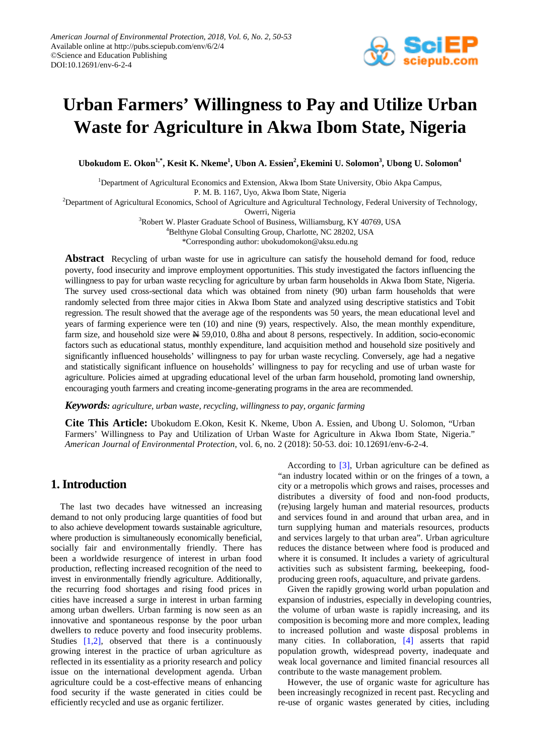

# **Urban Farmers' Willingness to Pay and Utilize Urban Waste for Agriculture in Akwa Ibom State, Nigeria**

 $\bf{Ubokudom E. Okon}^{1,*},$   $\bf{Kesit K. Nkeme}^1,$   $\bf{Ubon A. Essien}^2,$   $\bf{Ekemini U. Solomon}^3,$   $\bf{Ubong U. Solomon}^4$ 

<sup>1</sup>Department of Agricultural Economics and Extension, Akwa Ibom State University, Obio Akpa Campus,

P. M. B. 1167, Uyo, Akwa Ibom State, Nigeria

2 Department of Agricultural Economics, School of Agriculture and Agricultural Technology, Federal University of Technology,

Owerri, Nigeria

<sup>3</sup>Robert W. Plaster Graduate School of Business, Williamsburg, KY 40769, USA

4 Belthyne Global Consulting Group, Charlotte, NC 28202, USA

\*Corresponding author: ubokudomokon@aksu.edu.ng

**Abstract** Recycling of urban waste for use in agriculture can satisfy the household demand for food, reduce poverty, food insecurity and improve employment opportunities. This study investigated the factors influencing the willingness to pay for urban waste recycling for agriculture by urban farm households in Akwa Ibom State, Nigeria. The survey used cross-sectional data which was obtained from ninety (90) urban farm households that were randomly selected from three major cities in Akwa Ibom State and analyzed using descriptive statistics and Tobit regression. The result showed that the average age of the respondents was 50 years, the mean educational level and years of farming experience were ten (10) and nine (9) years, respectively. Also, the mean monthly expenditure, farm size, and household size were  $N$  59,010, 0.8ha and about 8 persons, respectively. In addition, socio-economic factors such as educational status, monthly expenditure, land acquisition method and household size positively and significantly influenced households' willingness to pay for urban waste recycling. Conversely, age had a negative and statistically significant influence on households' willingness to pay for recycling and use of urban waste for agriculture. Policies aimed at upgrading educational level of the urban farm household, promoting land ownership, encouraging youth farmers and creating income-generating programs in the area are recommended.

*Keywords: agriculture, urban waste, recycling, willingness to pay, organic farming*

**Cite This Article:** Ubokudom E.Okon, Kesit K. Nkeme, Ubon A. Essien, and Ubong U. Solomon, "Urban Farmers' Willingness to Pay and Utilization of Urban Waste for Agriculture in Akwa Ibom State, Nigeria." *American Journal of Environmental Protection*, vol. 6, no. 2 (2018): 50-53. doi: 10.12691/env-6-2-4.

# **1. Introduction**

The last two decades have witnessed an increasing demand to not only producing large quantities of food but to also achieve development towards sustainable agriculture, where production is simultaneously economically beneficial, socially fair and environmentally friendly. There has been a worldwide resurgence of interest in urban food production, reflecting increased recognition of the need to invest in environmentally friendly agriculture. Additionally, the recurring food shortages and rising food prices in cities have increased a surge in interest in urban farming among urban dwellers. Urban farming is now seen as an innovative and spontaneous response by the poor urban dwellers to reduce poverty and food insecurity problems. Studies [\[1,2\],](#page-3-0) observed that there is a continuously growing interest in the practice of urban agriculture as reflected in its essentiality as a priority research and policy issue on the international development agenda. Urban agriculture could be a cost-effective means of enhancing food security if the waste generated in cities could be efficiently recycled and use as organic fertilizer.

According to [\[3\],](#page-3-1) Urban agriculture can be defined as "an industry located within or on the fringes of a town, a city or a metropolis which grows and raises, processes and distributes a diversity of food and non-food products, (re)using largely human and material resources, products and services found in and around that urban area, and in turn supplying human and materials resources, products and services largely to that urban area". Urban agriculture reduces the distance between where food is produced and where it is consumed. It includes a variety of agricultural activities such as subsistent farming, beekeeping, foodproducing green roofs, aquaculture, and private gardens.

Given the rapidly growing world urban population and expansion of industries, especially in developing countries, the volume of urban waste is rapidly increasing, and its composition is becoming more and more complex, leading to increased pollution and waste disposal problems in many cities. In collaboration, [\[4\]](#page-3-2) asserts that rapid population growth, widespread poverty, inadequate and weak local governance and limited financial resources all contribute to the waste management problem.

However, the use of organic waste for agriculture has been increasingly recognized in recent past. Recycling and re-use of organic wastes generated by cities, including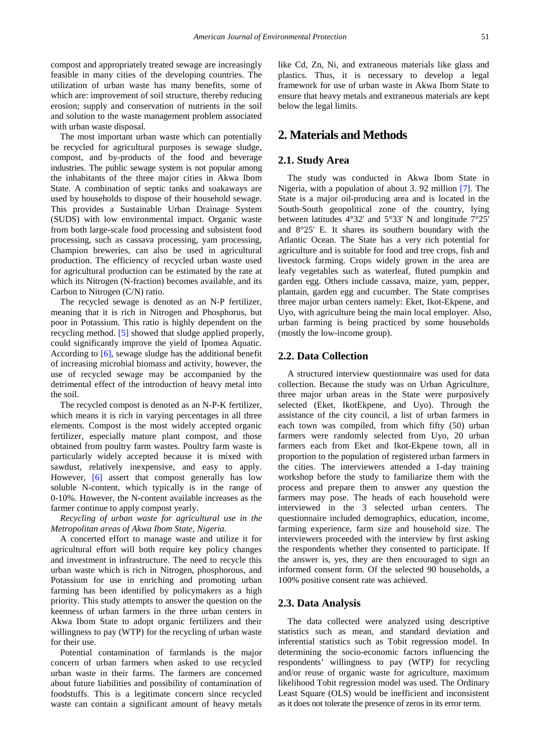compost and appropriately treated sewage are increasingly feasible in many cities of the developing countries. The utilization of urban waste has many benefits, some of which are: improvement of soil structure, thereby reducing erosion; supply and conservation of nutrients in the soil and solution to the waste management problem associated with urban waste disposal.

The most important urban waste which can potentially be recycled for agricultural purposes is sewage sludge, compost, and by-products of the food and beverage industries. The public sewage system is not popular among the inhabitants of the three major cities in Akwa Ibom State. A combination of septic tanks and soakaways are used by households to dispose of their household sewage. This provides a Sustainable Urban Drainage System (SUDS) with low environmental impact. Organic waste from both large-scale food processing and subsistent food processing, such as cassava processing, yam processing, Champion breweries, can also be used in agricultural production. The efficiency of recycled urban waste used for agricultural production can be estimated by the rate at which its Nitrogen (N-fraction) becomes available, and its Carbon to Nitrogen (C/N) ratio.

The recycled sewage is denoted as an N-P fertilizer, meaning that it is rich in Nitrogen and Phosphorus, but poor in Potassium. This ratio is highly dependent on the recycling method. [\[5\]](#page-3-3) showed that sludge applied properly, could significantly improve the yield of Ipomea Aquatic. According to [\[6\],](#page-3-4) sewage sludge has the additional benefit of increasing microbial biomass and activity, however, the use of recycled sewage may be accompanied by the detrimental effect of the introduction of heavy metal into the soil.

The recycled compost is denoted as an N-P-K fertilizer, which means it is rich in varying percentages in all three elements. Compost is the most widely accepted organic fertilizer, especially mature plant compost, and those obtained from poultry farm wastes. Poultry farm waste is particularly widely accepted because it is mixed with sawdust, relatively inexpensive, and easy to apply. However, [\[6\]](#page-3-4) assert that compost generally has low soluble N-content, which typically is in the range of 0-10%. However, the N-content available increases as the farmer continue to apply compost yearly.

*Recycling of urban waste for agricultural use in the Metropolitan areas of Akwa Ibom State, Nigeria.*

A concerted effort to manage waste and utilize it for agricultural effort will both require key policy changes and investment in infrastructure. The need to recycle this urban waste which is rich in Nitrogen, phosphorous, and Potassium for use in enriching and promoting urban farming has been identified by policymakers as a high priority. This study attempts to answer the question on the keenness of urban farmers in the three urban centers in Akwa Ibom State to adopt organic fertilizers and their willingness to pay (WTP) for the recycling of urban waste for their use.

Potential contamination of farmlands is the major concern of urban farmers when asked to use recycled urban waste in their farms. The farmers are concerned about future liabilities and possibility of contamination of foodstuffs. This is a legitimate concern since recycled waste can contain a significant amount of heavy metals like Cd, Zn, Ni, and extraneous materials like glass and plastics. Thus, it is necessary to develop a legal framework for use of urban waste in Akwa Ibom State to ensure that heavy metals and extraneous materials are kept below the legal limits.

## **2. Materials and Methods**

#### **2.1. Study Area**

The study was conducted in Akwa Ibom State in Nigeria, with a population of about 3. 92 million [\[7\].](#page-3-5) The State is a major oil-producing area and is located in the South-South geopolitical zone of the country, lying between latitudes 4°32' and 5°33' N and longitude 7°25' and 8°25' E. It shares its southern boundary with the Atlantic Ocean. The State has a very rich potential for agriculture and is suitable for food and tree crops, fish and livestock farming. Crops widely grown in the area are leafy vegetables such as waterleaf, fluted pumpkin and garden egg. Others include cassava, maize, yam, pepper, plantain, garden egg and cucumber. The State comprises three major urban centers namely: Eket, Ikot-Ekpene, and Uyo, with agriculture being the main local employer. Also, urban farming is being practiced by some households (mostly the low-income group).

#### **2.2. Data Collection**

A structured interview questionnaire was used for data collection. Because the study was on Urban Agriculture, three major urban areas in the State were purposively selected (Eket, IkotEkpene, and Uyo). Through the assistance of the city council, a list of urban farmers in each town was compiled, from which fifty (50) urban farmers were randomly selected from Uyo, 20 urban farmers each from Eket and Ikot-Ekpene town, all in proportion to the population of registered urban farmers in the cities. The interviewers attended a 1-day training workshop before the study to familiarize them with the process and prepare them to answer any question the farmers may pose. The heads of each household were interviewed in the 3 selected urban centers. The questionnaire included demographics, education, income, farming experience, farm size and household size. The interviewers proceeded with the interview by first asking the respondents whether they consented to participate. If the answer is, yes, they are then encouraged to sign an informed consent form. Of the selected 90 households, a 100% positive consent rate was achieved.

#### **2.3. Data Analysis**

The data collected were analyzed using descriptive statistics such as mean, and standard deviation and inferential statistics such as Tobit regression model. In determining the socio-economic factors influencing the respondents' willingness to pay (WTP) for recycling and/or reuse of organic waste for agriculture, maximum likelihood Tobit regression model was used. The Ordinary Least Square (OLS) would be inefficient and inconsistent as it does not tolerate the presence of zeros in its error term.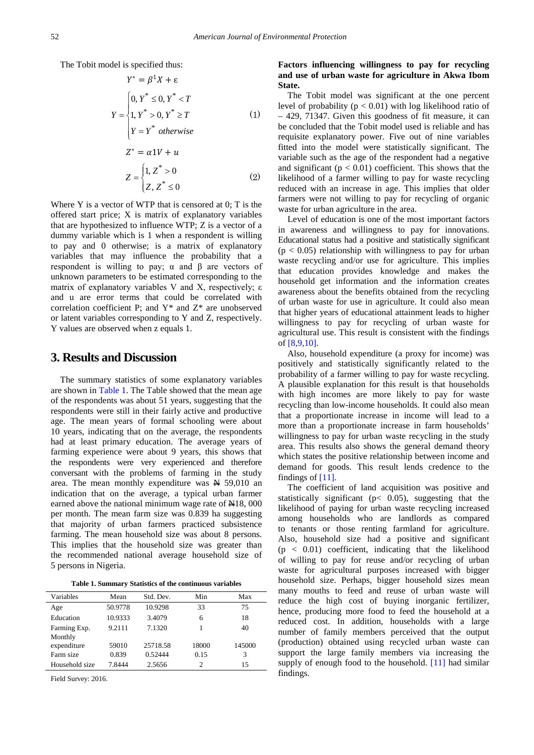The Tobit model is specified thus:

$$
Y^* = \beta^1 X + \varepsilon
$$
  
\n
$$
Y = \begin{cases} 0, Y^* \le 0, Y^* < T \\ 1, Y^* > 0, Y^* \ge T \\ Y = Y^* \quad otherwise \\ Z^* = \alpha 1V + u \\ Z = \begin{cases} 1, Z^* > 0 \\ Z, Z^* \le 0 \end{cases} \end{cases} \tag{1}
$$

Where Y is a vector of WTP that is censored at 0; T is the offered start price; X is matrix of explanatory variables that are hypothesized to influence WTP; Z is a vector of a dummy variable which is 1 when a respondent is willing to pay and 0 otherwise; is a matrix of explanatory variables that may influence the probability that a respondent is willing to pay;  $\alpha$  and  $\beta$  are vectors of unknown parameters to be estimated corresponding to the matrix of explanatory variables V and X, respectively; ε and u are error terms that could be correlated with correlation coefficient P; and Y\* and Z\* are unobserved or latent variables corresponding to Y and Z, respectively. Y values are observed when z equals 1.

## **3. Results and Discussion**

The summary statistics of some explanatory variables are shown in [Table 1.](#page-2-0) The Table showed that the mean age of the respondents was about 51 years, suggesting that the respondents were still in their fairly active and productive age. The mean years of formal schooling were about 10 years, indicating that on the average, the respondents had at least primary education. The average years of farming experience were about 9 years, this shows that the respondents were very experienced and therefore conversant with the problems of farming in the study area. The mean monthly expenditure was  $\cancel{H}$  59,010 an indication that on the average, a typical urban farmer earned above the national minimum wage rate of  $\text{H18}$ , 000 per month. The mean farm size was 0.839 ha suggesting that majority of urban farmers practiced subsistence farming. The mean household size was about 8 persons. This implies that the household size was greater than the recommended national average household size of 5 persons in Nigeria.

**Table 1. Summary Statistics of the continuous variables** 

<span id="page-2-0"></span>

| Variables              | Mean    | Std. Dev. | Min   | Max    |
|------------------------|---------|-----------|-------|--------|
| Age                    | 50.9778 | 10.9298   | 33    | 75     |
| Education              | 10.9333 | 3.4079    | 6     | 18     |
| Farming Exp.           | 9.2111  | 7.1320    |       | 40     |
| Monthly<br>expenditure | 59010   | 25718.58  | 18000 | 145000 |
| Farm size              | 0.839   | 0.52444   | 0.15  | 3      |
| Household size         | 7.8444  | 2.5656    | 2     | 15     |

Field Survey: 2016.

#### **Factors influencing willingness to pay for recycling and use of urban waste for agriculture in Akwa Ibom State.**

The Tobit model was significant at the one percent level of probability ( $p < 0.01$ ) with log likelihood ratio of – 429, 71347. Given this goodness of fit measure, it can be concluded that the Tobit model used is reliable and has requisite explanatory power. Five out of nine variables fitted into the model were statistically significant. The variable such as the age of the respondent had a negative and significant ( $p < 0.01$ ) coefficient. This shows that the likelihood of a farmer willing to pay for waste recycling reduced with an increase in age. This implies that older farmers were not willing to pay for recycling of organic waste for urban agriculture in the area.

Level of education is one of the most important factors in awareness and willingness to pay for innovations. Educational status had a positive and statistically significant  $(p < 0.05)$  relationship with willingness to pay for urban waste recycling and/or use for agriculture. This implies that education provides knowledge and makes the household get information and the information creates awareness about the benefits obtained from the recycling of urban waste for use in agriculture. It could also mean that higher years of educational attainment leads to higher willingness to pay for recycling of urban waste for agricultural use. This result is consistent with the findings of [\[8,9,10\].](#page-3-6)

Also, household expenditure (a proxy for income) was positively and statistically significantly related to the probability of a farmer willing to pay for waste recycling. A plausible explanation for this result is that households with high incomes are more likely to pay for waste recycling than low-income households. It could also mean that a proportionate increase in income will lead to a more than a proportionate increase in farm households' willingness to pay for urban waste recycling in the study area. This results also shows the general demand theory which states the positive relationship between income and demand for goods. This result lends credence to the findings of [\[11\].](#page-3-7)

The coefficient of land acquisition was positive and statistically significant ( $p < 0.05$ ), suggesting that the likelihood of paying for urban waste recycling increased among households who are landlords as compared to tenants or those renting farmland for agriculture. Also, household size had a positive and significant  $(p < 0.01)$  coefficient, indicating that the likelihood of willing to pay for reuse and/or recycling of urban waste for agricultural purposes increased with bigger household size. Perhaps, bigger household sizes mean many mouths to feed and reuse of urban waste will reduce the high cost of buying inorganic fertilizer, hence, producing more food to feed the household at a reduced cost. In addition, households with a large number of family members perceived that the output (production) obtained using recycled urban waste can support the large family members via increasing the supply of enough food to the household. [\[11\]](#page-3-7) had similar findings.